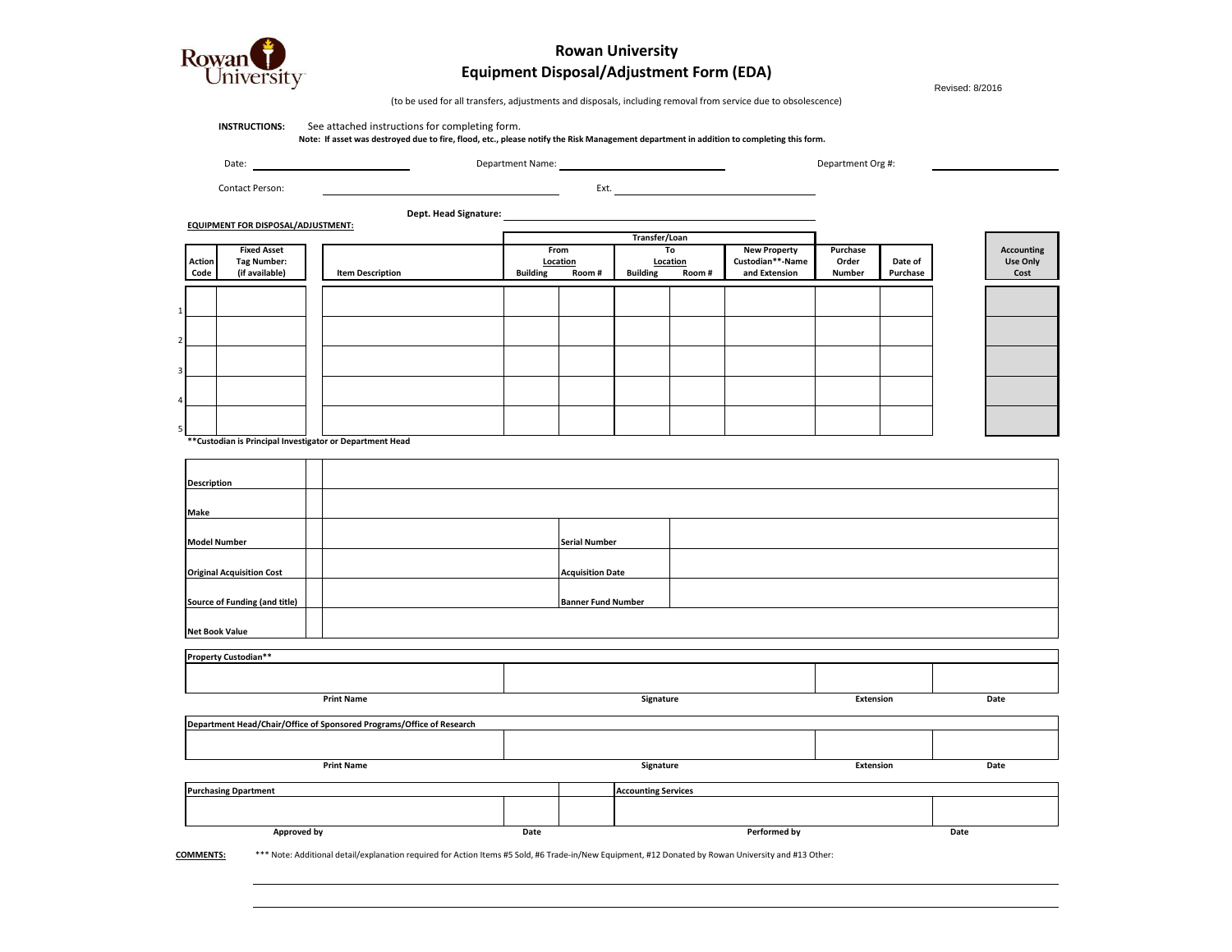

## **Rowan University Equipment Disposal/Adjustment Form (EDA)**

Revised: 8/2016

| <b>INSTRUCTIONS:</b>                                                                | See attached instructions for completing form.                                                                                           | (to be used for all transfers, adjustments and disposals, including removal from service due to obsolescence) |                           |                            |                         |                                                          |                                    |                     |      |                                              |  |
|-------------------------------------------------------------------------------------|------------------------------------------------------------------------------------------------------------------------------------------|---------------------------------------------------------------------------------------------------------------|---------------------------|----------------------------|-------------------------|----------------------------------------------------------|------------------------------------|---------------------|------|----------------------------------------------|--|
|                                                                                     | Note: If asset was destroyed due to fire, flood, etc., please notify the Risk Management department in addition to completing this form. |                                                                                                               |                           |                            |                         |                                                          |                                    |                     |      |                                              |  |
| Date:                                                                               |                                                                                                                                          |                                                                                                               |                           |                            |                         |                                                          | Department Org #:                  |                     |      |                                              |  |
| Contact Person:                                                                     |                                                                                                                                          |                                                                                                               | Ext.                      |                            |                         |                                                          |                                    |                     |      |                                              |  |
| <b>EQUIPMENT FOR DISPOSAL/ADJUSTMENT:</b>                                           |                                                                                                                                          | Dept. Head Signature: _____                                                                                   |                           |                            |                         |                                                          |                                    |                     |      |                                              |  |
|                                                                                     |                                                                                                                                          | Transfer/Loan                                                                                                 |                           |                            |                         |                                                          |                                    |                     |      |                                              |  |
| <b>Fixed Asset</b><br><b>Tag Number:</b><br><b>Action</b><br>Code<br>(if available) | <b>Item Description</b>                                                                                                                  | <b>Building</b>                                                                                               | From<br>Location<br>Room# | <b>Building</b>            | To<br>Location<br>Room# | <b>New Property</b><br>Custodian**-Name<br>and Extension | Purchase<br>Order<br><b>Number</b> | Date of<br>Purchase |      | <b>Accounting</b><br><b>Use Only</b><br>Cost |  |
|                                                                                     |                                                                                                                                          |                                                                                                               |                           |                            |                         |                                                          |                                    |                     |      |                                              |  |
|                                                                                     |                                                                                                                                          |                                                                                                               |                           |                            |                         |                                                          |                                    |                     |      |                                              |  |
|                                                                                     |                                                                                                                                          |                                                                                                               |                           |                            |                         |                                                          |                                    |                     |      |                                              |  |
|                                                                                     |                                                                                                                                          |                                                                                                               |                           |                            |                         |                                                          |                                    |                     |      |                                              |  |
|                                                                                     |                                                                                                                                          |                                                                                                               |                           |                            |                         |                                                          |                                    |                     |      |                                              |  |
| ** Custodian is Principal Investigator or Department Head                           |                                                                                                                                          |                                                                                                               |                           |                            |                         |                                                          |                                    |                     |      |                                              |  |
| <b>Description</b>                                                                  |                                                                                                                                          |                                                                                                               |                           |                            |                         |                                                          |                                    |                     |      |                                              |  |
| Make                                                                                |                                                                                                                                          |                                                                                                               |                           |                            |                         |                                                          |                                    |                     |      |                                              |  |
| <b>Model Number</b>                                                                 |                                                                                                                                          |                                                                                                               | <b>Serial Number</b>      |                            |                         |                                                          |                                    |                     |      |                                              |  |
| <b>Original Acquisition Cost</b>                                                    |                                                                                                                                          |                                                                                                               | <b>Acquisition Date</b>   |                            |                         |                                                          |                                    |                     |      |                                              |  |
| <b>Source of Funding (and title)</b>                                                |                                                                                                                                          |                                                                                                               | <b>Banner Fund Number</b> |                            |                         |                                                          |                                    |                     |      |                                              |  |
| <b>Net Book Value</b>                                                               |                                                                                                                                          |                                                                                                               |                           |                            |                         |                                                          |                                    |                     |      |                                              |  |
| Property Custodian**                                                                |                                                                                                                                          |                                                                                                               |                           |                            |                         |                                                          |                                    |                     |      |                                              |  |
|                                                                                     |                                                                                                                                          |                                                                                                               |                           |                            |                         |                                                          |                                    |                     |      |                                              |  |
| <b>Print Name</b>                                                                   |                                                                                                                                          |                                                                                                               | Signature                 |                            |                         |                                                          |                                    | <b>Extension</b>    |      | Date                                         |  |
|                                                                                     | Department Head/Chair/Office of Sponsored Programs/Office of Research                                                                    |                                                                                                               |                           |                            |                         |                                                          |                                    |                     |      |                                              |  |
| <b>Print Name</b>                                                                   |                                                                                                                                          |                                                                                                               | Signature                 |                            |                         |                                                          |                                    | <b>Extension</b>    |      | Date                                         |  |
| <b>Purchasing Dpartment</b>                                                         |                                                                                                                                          |                                                                                                               |                           | <b>Accounting Services</b> |                         |                                                          |                                    |                     |      |                                              |  |
|                                                                                     |                                                                                                                                          |                                                                                                               |                           |                            |                         |                                                          |                                    |                     |      |                                              |  |
| <b>Approved by</b>                                                                  |                                                                                                                                          |                                                                                                               |                           | Performed by               |                         |                                                          |                                    |                     | Date |                                              |  |